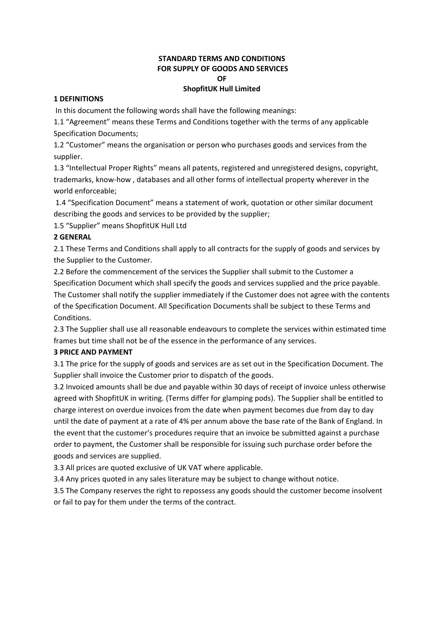# **STANDARD TERMS AND CONDITIONS FOR SUPPLY OF GOODS AND SERVICES OF**

## **ShopfitUK Hull Limited**

### **1 DEFINITIONS**

In this document the following words shall have the following meanings:

1.1 "Agreement" means these Terms and Conditions together with the terms of any applicable Specification Documents;

1.2 "Customer" means the organisation or person who purchases goods and services from the supplier.

1.3 "Intellectual Proper Rights" means all patents, registered and unregistered designs, copyright, trademarks, know-how , databases and all other forms of intellectual property wherever in the world enforceable;

1.4 "Specification Document" means a statement of work, quotation or other similar document describing the goods and services to be provided by the supplier;

1.5 "Supplier" means ShopfitUK Hull Ltd

## **2 GENERAL**

2.1 These Terms and Conditions shall apply to all contracts for the supply of goods and services by the Supplier to the Customer.

2.2 Before the commencement of the services the Supplier shall submit to the Customer a Specification Document which shall specify the goods and services supplied and the price payable. The Customer shall notify the supplier immediately if the Customer does not agree with the contents of the Specification Document. All Specification Documents shall be subject to these Terms and Conditions.

2.3 The Supplier shall use all reasonable endeavours to complete the services within estimated time frames but time shall not be of the essence in the performance of any services.

# **3 PRICE AND PAYMENT**

3.1 The price for the supply of goods and services are as set out in the Specification Document. The Supplier shall invoice the Customer prior to dispatch of the goods.

3.2 Invoiced amounts shall be due and payable within 30 days of receipt of invoice unless otherwise agreed with ShopfitUK in writing. (Terms differ for glamping pods). The Supplier shall be entitled to charge interest on overdue invoices from the date when payment becomes due from day to day until the date of payment at a rate of 4% per annum above the base rate of the Bank of England. In the event that the customer's procedures require that an invoice be submitted against a purchase order to payment, the Customer shall be responsible for issuing such purchase order before the goods and services are supplied.

3.3 All prices are quoted exclusive of UK VAT where applicable.

3.4 Any prices quoted in any sales literature may be subject to change without notice.

3.5 The Company reserves the right to repossess any goods should the customer become insolvent or fail to pay for them under the terms of the contract.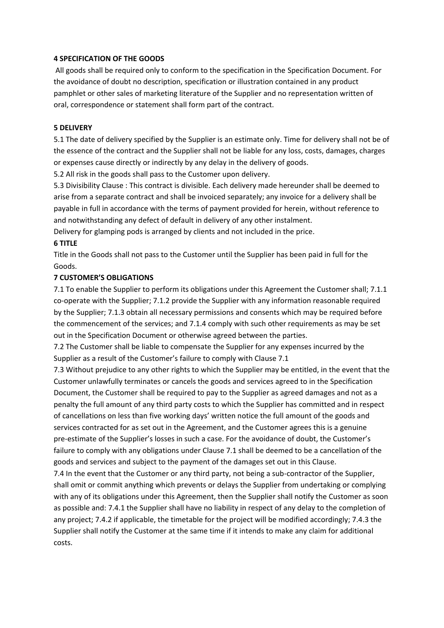#### **4 SPECIFICATION OF THE GOODS**

All goods shall be required only to conform to the specification in the Specification Document. For the avoidance of doubt no description, specification or illustration contained in any product pamphlet or other sales of marketing literature of the Supplier and no representation written of oral, correspondence or statement shall form part of the contract.

#### **5 DELIVERY**

5.1 The date of delivery specified by the Supplier is an estimate only. Time for delivery shall not be of the essence of the contract and the Supplier shall not be liable for any loss, costs, damages, charges or expenses cause directly or indirectly by any delay in the delivery of goods.

5.2 All risk in the goods shall pass to the Customer upon delivery.

5.3 Divisibility Clause : This contract is divisible. Each delivery made hereunder shall be deemed to arise from a separate contract and shall be invoiced separately; any invoice for a delivery shall be payable in full in accordance with the terms of payment provided for herein, without reference to and notwithstanding any defect of default in delivery of any other instalment.

Delivery for glamping pods is arranged by clients and not included in the price.

#### **6 TITLE**

Title in the Goods shall not pass to the Customer until the Supplier has been paid in full for the Goods.

## **7 CUSTOMER'S OBLIGATIONS**

7.1 To enable the Supplier to perform its obligations under this Agreement the Customer shall; 7.1.1 co-operate with the Supplier; 7.1.2 provide the Supplier with any information reasonable required by the Supplier; 7.1.3 obtain all necessary permissions and consents which may be required before the commencement of the services; and 7.1.4 comply with such other requirements as may be set out in the Specification Document or otherwise agreed between the parties.

7.2 The Customer shall be liable to compensate the Supplier for any expenses incurred by the Supplier as a result of the Customer's failure to comply with Clause 7.1

7.3 Without prejudice to any other rights to which the Supplier may be entitled, in the event that the Customer unlawfully terminates or cancels the goods and services agreed to in the Specification Document, the Customer shall be required to pay to the Supplier as agreed damages and not as a penalty the full amount of any third party costs to which the Supplier has committed and in respect of cancellations on less than five working days' written notice the full amount of the goods and services contracted for as set out in the Agreement, and the Customer agrees this is a genuine pre-estimate of the Supplier's losses in such a case. For the avoidance of doubt, the Customer's failure to comply with any obligations under Clause 7.1 shall be deemed to be a cancellation of the goods and services and subject to the payment of the damages set out in this Clause.

7.4 In the event that the Customer or any third party, not being a sub-contractor of the Supplier, shall omit or commit anything which prevents or delays the Supplier from undertaking or complying with any of its obligations under this Agreement, then the Supplier shall notify the Customer as soon as possible and: 7.4.1 the Supplier shall have no liability in respect of any delay to the completion of any project; 7.4.2 if applicable, the timetable for the project will be modified accordingly; 7.4.3 the Supplier shall notify the Customer at the same time if it intends to make any claim for additional costs.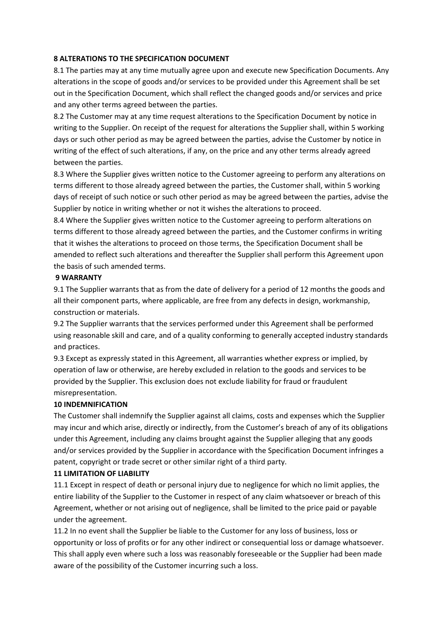## **8 ALTERATIONS TO THE SPECIFICATION DOCUMENT**

8.1 The parties may at any time mutually agree upon and execute new Specification Documents. Any alterations in the scope of goods and/or services to be provided under this Agreement shall be set out in the Specification Document, which shall reflect the changed goods and/or services and price and any other terms agreed between the parties.

8.2 The Customer may at any time request alterations to the Specification Document by notice in writing to the Supplier. On receipt of the request for alterations the Supplier shall, within 5 working days or such other period as may be agreed between the parties, advise the Customer by notice in writing of the effect of such alterations, if any, on the price and any other terms already agreed between the parties.

8.3 Where the Supplier gives written notice to the Customer agreeing to perform any alterations on terms different to those already agreed between the parties, the Customer shall, within 5 working days of receipt of such notice or such other period as may be agreed between the parties, advise the Supplier by notice in writing whether or not it wishes the alterations to proceed.

8.4 Where the Supplier gives written notice to the Customer agreeing to perform alterations on terms different to those already agreed between the parties, and the Customer confirms in writing that it wishes the alterations to proceed on those terms, the Specification Document shall be amended to reflect such alterations and thereafter the Supplier shall perform this Agreement upon the basis of such amended terms.

### **9 WARRANTY**

9.1 The Supplier warrants that as from the date of delivery for a period of 12 months the goods and all their component parts, where applicable, are free from any defects in design, workmanship, construction or materials.

9.2 The Supplier warrants that the services performed under this Agreement shall be performed using reasonable skill and care, and of a quality conforming to generally accepted industry standards and practices.

9.3 Except as expressly stated in this Agreement, all warranties whether express or implied, by operation of law or otherwise, are hereby excluded in relation to the goods and services to be provided by the Supplier. This exclusion does not exclude liability for fraud or fraudulent misrepresentation.

# **10 INDEMNIFICATION**

The Customer shall indemnify the Supplier against all claims, costs and expenses which the Supplier may incur and which arise, directly or indirectly, from the Customer's breach of any of its obligations under this Agreement, including any claims brought against the Supplier alleging that any goods and/or services provided by the Supplier in accordance with the Specification Document infringes a patent, copyright or trade secret or other similar right of a third party.

### **11 LIMITATION OF LIABILITY**

11.1 Except in respect of death or personal injury due to negligence for which no limit applies, the entire liability of the Supplier to the Customer in respect of any claim whatsoever or breach of this Agreement, whether or not arising out of negligence, shall be limited to the price paid or payable under the agreement.

11.2 In no event shall the Supplier be liable to the Customer for any loss of business, loss or opportunity or loss of profits or for any other indirect or consequential loss or damage whatsoever. This shall apply even where such a loss was reasonably foreseeable or the Supplier had been made aware of the possibility of the Customer incurring such a loss.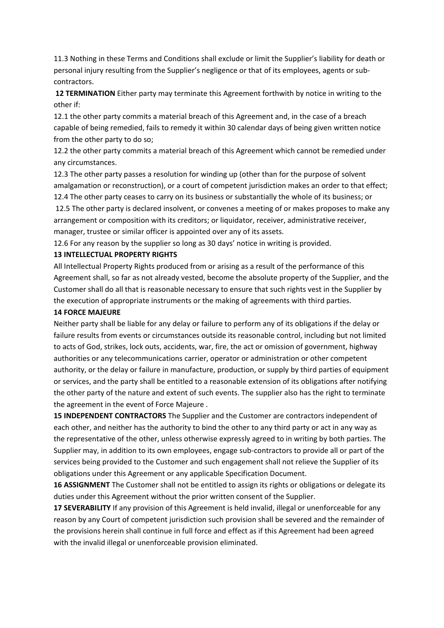11.3 Nothing in these Terms and Conditions shall exclude or limit the Supplier's liability for death or personal injury resulting from the Supplier's negligence or that of its employees, agents or subcontractors.

**12 TERMINATION** Either party may terminate this Agreement forthwith by notice in writing to the other if:

12.1 the other party commits a material breach of this Agreement and, in the case of a breach capable of being remedied, fails to remedy it within 30 calendar days of being given written notice from the other party to do so;

12.2 the other party commits a material breach of this Agreement which cannot be remedied under any circumstances.

12.3 The other party passes a resolution for winding up (other than for the purpose of solvent amalgamation or reconstruction), or a court of competent jurisdiction makes an order to that effect; 12.4 The other party ceases to carry on its business or substantially the whole of its business; or 12.5 The other party is declared insolvent, or convenes a meeting of or makes proposes to make any arrangement or composition with its creditors; or liquidator, receiver, administrative receiver, manager, trustee or similar officer is appointed over any of its assets.

12.6 For any reason by the supplier so long as 30 days' notice in writing is provided.

#### **13 INTELLECTUAL PROPERTY RIGHTS**

All Intellectual Property Rights produced from or arising as a result of the performance of this Agreement shall, so far as not already vested, become the absolute property of the Supplier, and the Customer shall do all that is reasonable necessary to ensure that such rights vest in the Supplier by the execution of appropriate instruments or the making of agreements with third parties.

#### **14 FORCE MAJEURE**

Neither party shall be liable for any delay or failure to perform any of its obligations if the delay or failure results from events or circumstances outside its reasonable control, including but not limited to acts of God, strikes, lock outs, accidents, war, fire, the act or omission of government, highway authorities or any telecommunications carrier, operator or administration or other competent authority, or the delay or failure in manufacture, production, or supply by third parties of equipment or services, and the party shall be entitled to a reasonable extension of its obligations after notifying the other party of the nature and extent of such events. The supplier also has the right to terminate the agreement in the event of Force Majeure .

**15 INDEPENDENT CONTRACTORS** The Supplier and the Customer are contractors independent of each other, and neither has the authority to bind the other to any third party or act in any way as the representative of the other, unless otherwise expressly agreed to in writing by both parties. The Supplier may, in addition to its own employees, engage sub-contractors to provide all or part of the services being provided to the Customer and such engagement shall not relieve the Supplier of its obligations under this Agreement or any applicable Specification Document.

**16 ASSIGNMENT** The Customer shall not be entitled to assign its rights or obligations or delegate its duties under this Agreement without the prior written consent of the Supplier.

**17 SEVERABILITY** If any provision of this Agreement is held invalid, illegal or unenforceable for any reason by any Court of competent jurisdiction such provision shall be severed and the remainder of the provisions herein shall continue in full force and effect as if this Agreement had been agreed with the invalid illegal or unenforceable provision eliminated.